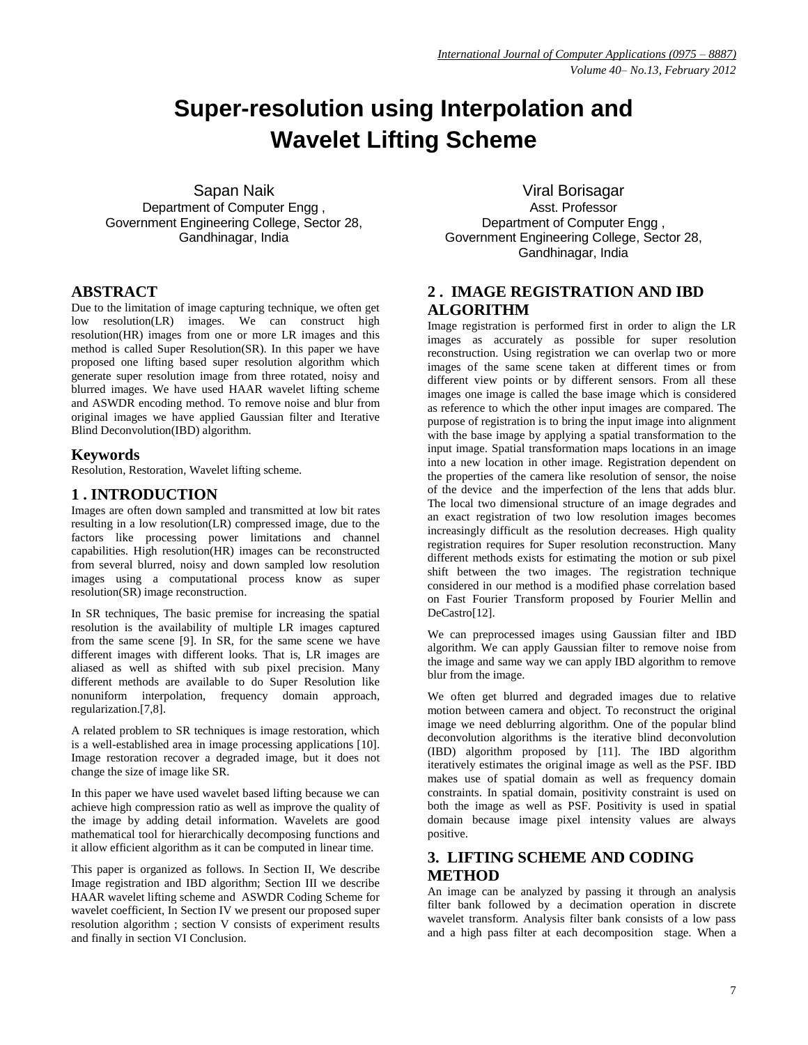# **Super-resolution using Interpolation and Wavelet Lifting Scheme**

Sapan Naik Department of Computer Engg , Government Engineering College, Sector 28, Gandhinagar, India

## **ABSTRACT**

Due to the limitation of image capturing technique, we often get low resolution(LR) images. We can construct high resolution(HR) images from one or more LR images and this method is called Super Resolution(SR). In this paper we have proposed one lifting based super resolution algorithm which generate super resolution image from three rotated, noisy and blurred images. We have used HAAR wavelet lifting scheme and ASWDR encoding method. To remove noise and blur from original images we have applied Gaussian filter and Iterative Blind Deconvolution(IBD) algorithm.

## **Keywords**

Resolution, Restoration, Wavelet lifting scheme.

## **1 . INTRODUCTION**

Images are often down sampled and transmitted at low bit rates resulting in a low resolution(LR) compressed image, due to the factors like processing power limitations and channel capabilities. High resolution(HR) images can be reconstructed from several blurred, noisy and down sampled low resolution images using a computational process know as super resolution(SR) image reconstruction.

In SR techniques, The basic premise for increasing the spatial resolution is the availability of multiple LR images captured from the same scene [9]. In SR, for the same scene we have different images with different looks. That is, LR images are aliased as well as shifted with sub pixel precision. Many different methods are available to do Super Resolution like nonuniform interpolation, frequency domain approach, regularization.[7,8].

A related problem to SR techniques is image restoration, which is a well-established area in image processing applications [10]. Image restoration recover a degraded image, but it does not change the size of image like SR.

In this paper we have used wavelet based lifting because we can achieve high compression ratio as well as improve the quality of the image by adding detail information. Wavelets are good mathematical tool for hierarchically decomposing functions and it allow efficient algorithm as it can be computed in linear time.

This paper is organized as follows. In Section II, We describe Image registration and IBD algorithm; Section III we describe HAAR wavelet lifting scheme and ASWDR Coding Scheme for wavelet coefficient, In Section IV we present our proposed super resolution algorithm ; section V consists of experiment results and finally in section VI Conclusion.

Viral Borisagar Asst. Professor Department of Computer Engg , Government Engineering College, Sector 28, Gandhinagar, India

# **2 . IMAGE REGISTRATION AND IBD ALGORITHM**

Image registration is performed first in order to align the LR images as accurately as possible for super resolution reconstruction. Using registration we can overlap two or more images of the same scene taken at different times or from different view points or by different sensors. From all these images one image is called the base image which is considered as reference to which the other input images are compared. The purpose of registration is to bring the input image into alignment with the base image by applying a spatial transformation to the input image. Spatial transformation maps locations in an image into a new location in other image. Registration dependent on the properties of the camera like resolution of sensor, the noise of the device and the imperfection of the lens that adds blur. The local two dimensional structure of an image degrades and an exact registration of two low resolution images becomes increasingly difficult as the resolution decreases. High quality registration requires for Super resolution reconstruction. Many different methods exists for estimating the motion or sub pixel shift between the two images. The registration technique considered in our method is a modified phase correlation based on Fast Fourier Transform proposed by Fourier Mellin and DeCastro[12].

We can preprocessed images using Gaussian filter and IBD algorithm. We can apply Gaussian filter to remove noise from the image and same way we can apply IBD algorithm to remove blur from the image.

We often get blurred and degraded images due to relative motion between camera and object. To reconstruct the original image we need deblurring algorithm. One of the popular blind deconvolution algorithms is the iterative blind deconvolution (IBD) algorithm proposed by [11]. The IBD algorithm iteratively estimates the original image as well as the PSF. IBD makes use of spatial domain as well as frequency domain constraints. In spatial domain, positivity constraint is used on both the image as well as PSF. Positivity is used in spatial domain because image pixel intensity values are always positive.

## **3. LIFTING SCHEME AND CODING METHOD**

An image can be analyzed by passing it through an analysis filter bank followed by a decimation operation in discrete wavelet transform. Analysis filter bank consists of a low pass and a high pass filter at each decomposition stage. When a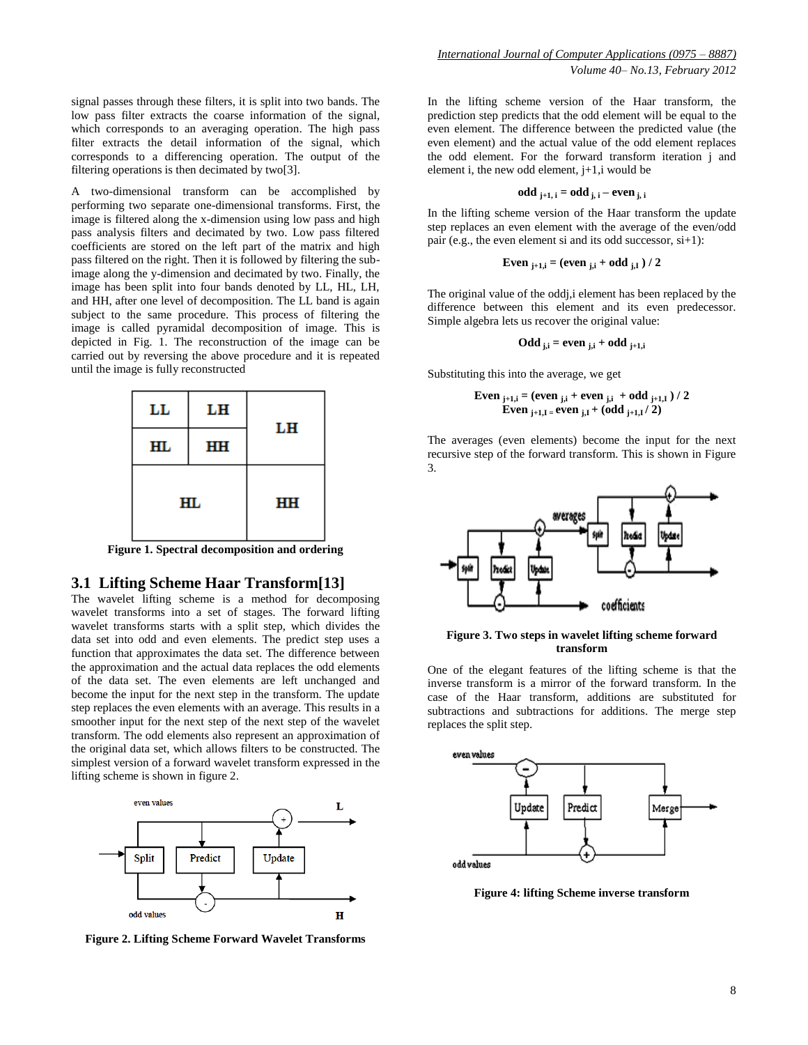signal passes through these filters, it is split into two bands. The low pass filter extracts the coarse information of the signal, which corresponds to an averaging operation. The high pass filter extracts the detail information of the signal, which corresponds to a differencing operation. The output of the filtering operations is then decimated by two[3].

A two-dimensional transform can be accomplished by performing two separate one-dimensional transforms. First, the image is filtered along the x-dimension using low pass and high pass analysis filters and decimated by two. Low pass filtered coefficients are stored on the left part of the matrix and high pass filtered on the right. Then it is followed by filtering the subimage along the y-dimension and decimated by two. Finally, the image has been split into four bands denoted by LL, HL, LH, and HH, after one level of decomposition. The LL band is again subject to the same procedure. This process of filtering the image is called pyramidal decomposition of image. This is depicted in Fig. 1. The reconstruction of the image can be carried out by reversing the above procedure and it is repeated until the image is fully reconstructed



**Figure 1. Spectral decomposition and ordering**

## **3.1 Lifting Scheme Haar Transform[13]**

The wavelet lifting scheme is a method for decomposing wavelet transforms into a set of stages. The forward lifting wavelet transforms starts with a split step, which divides the data set into odd and even elements. The predict step uses a function that approximates the data set. The difference between the approximation and the actual data replaces the odd elements of the data set. The even elements are left unchanged and become the input for the next step in the transform. The update step replaces the even elements with an average. This results in a smoother input for the next step of the next step of the wavelet transform. The odd elements also represent an approximation of the original data set, which allows filters to be constructed. The simplest version of a forward wavelet transform expressed in the lifting scheme is shown in figure 2.



**Figure 2. Lifting Scheme Forward Wavelet Transforms**

In the lifting scheme version of the Haar transform, the prediction step predicts that the odd element will be equal to the even element. The difference between the predicted value (the even element) and the actual value of the odd element replaces the odd element. For the forward transform iteration j and element i, the new odd element,  $j+1,i$  would be

odd 
$$
j+1
$$
,  $i = odd$ ,  $j$ ,  $i - even$ ,  $j$ ,  $i$ 

In the lifting scheme version of the Haar transform the update step replaces an even element with the average of the even/odd pair (e.g., the even element si and its odd successor, si+1):

Even 
$$
j+1, i = (even j, i + odd j, I) / 2
$$

The original value of the oddj,i element has been replaced by the difference between this element and its even predecessor. Simple algebra lets us recover the original value:

$$
\mathbf{Odd}_{j,i} = \mathbf{even}_{j,i} + \mathbf{odd}_{j+1,i}
$$

Substituting this into the average, we get

Even 
$$
_{j+1,i} = (even_{j,i} + even_{j,i} + odd_{j+1,I}) / 2
$$
 \nEven  $_{j+1,I} = even_{j,I} + (odd_{j+1,I}/ 2)$ 

The averages (even elements) become the input for the next recursive step of the forward transform. This is shown in Figure 3.



#### **Figure 3. Two steps in wavelet lifting scheme forward transform**

One of the elegant features of the lifting scheme is that the inverse transform is a mirror of the forward transform. In the case of the Haar transform, additions are substituted for subtractions and subtractions for additions. The merge step replaces the split step.



**Figure 4: lifting Scheme inverse transform**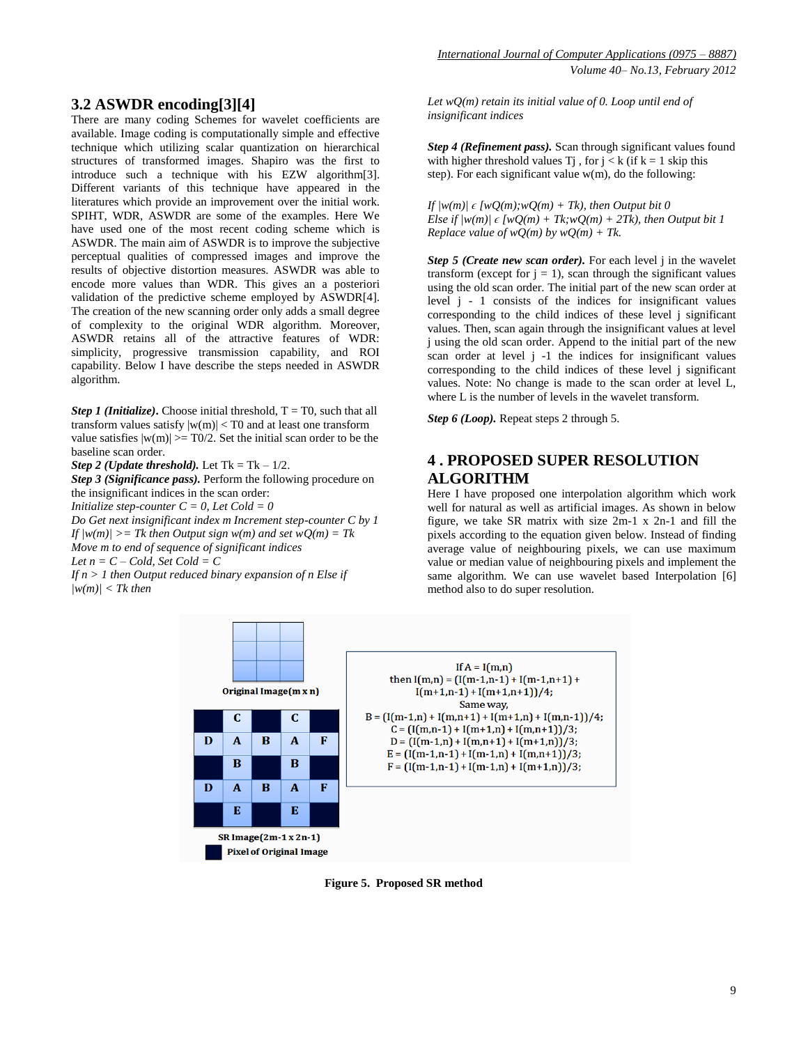## **3.2 ASWDR encoding[3][4]**

There are many coding Schemes for wavelet coefficients are available. Image coding is computationally simple and effective technique which utilizing scalar quantization on hierarchical structures of transformed images. Shapiro was the first to introduce such a technique with his EZW algorithm[3]. Different variants of this technique have appeared in the literatures which provide an improvement over the initial work. SPIHT, WDR, ASWDR are some of the examples. Here We have used one of the most recent coding scheme which is ASWDR. The main aim of ASWDR is to improve the subjective perceptual qualities of compressed images and improve the results of objective distortion measures. ASWDR was able to encode more values than WDR. This gives an a posteriori validation of the predictive scheme employed by ASWDR[4]. The creation of the new scanning order only adds a small degree of complexity to the original WDR algorithm. Moreover, ASWDR retains all of the attractive features of WDR: simplicity, progressive transmission capability, and ROI capability. Below I have describe the steps needed in ASWDR algorithm.

*Step 1 (Initialize)***.** Choose initial threshold,  $T = T0$ , such that all transform values satisfy  $|w(m)| < T0$  and at least one transform value satisfies  $|w(m)| \geq T_0/2$ . Set the initial scan order to be the baseline scan order.

*Step 2 (Update threshold).* Let  $Tk = Tk - 1/2$ .

*Step 3 (Significance pass).* Perform the following procedure on the insignificant indices in the scan order:

*Initialize step-counter C = 0, Let Cold = 0*

*Do Get next insignificant index m Increment step-counter C by 1 If*  $|w(m)| \geq Tk$  *then Output sign*  $w(m)$  *and set*  $wO(m) = Tk$ *Move m to end of sequence of significant indices Let*  $n = C - Cold$ *, Set*  $Cold = C$ 

*If n > 1 then Output reduced binary expansion of n Else if |w(m)| < Tk then*

*Let wQ(m) retain its initial value of 0. Loop until end of insignificant indices*

*Step 4 (Refinement pass).* Scan through significant values found with higher threshold values  $\overline{T}$  , for  $j < k$  (if  $k = 1$  skip this step). For each significant value  $w(m)$ , do the following:

*If*  $|w(m)| \in \{wO(m): wO(m) + Tk\}$ , then Output bit 0 *Else if*  $|w(m)| \in \{wQ(m) + Tk; wQ(m) + 2Tk\}$ , then Output bit 1 *Replace value of wQ(m) by wQ(m) + Tk.* 

*Step 5 (Create new scan order).* For each level j in the wavelet transform (except for  $j = 1$ ), scan through the significant values using the old scan order. The initial part of the new scan order at level j - 1 consists of the indices for insignificant values corresponding to the child indices of these level j significant values. Then, scan again through the insignificant values at level j using the old scan order. Append to the initial part of the new scan order at level j -1 the indices for insignificant values corresponding to the child indices of these level j significant values. Note: No change is made to the scan order at level L, where L is the number of levels in the wavelet transform.

*Step 6 (Loop).* Repeat steps 2 through 5.

## **4 . PROPOSED SUPER RESOLUTION ALGORITHM**

Here I have proposed one interpolation algorithm which work well for natural as well as artificial images. As shown in below figure, we take SR matrix with size 2m-1 x 2n-1 and fill the pixels according to the equation given below. Instead of finding average value of neighbouring pixels, we can use maximum value or median value of neighbouring pixels and implement the same algorithm. We can use wavelet based Interpolation [6] method also to do super resolution.



**Figure 5. Proposed SR method**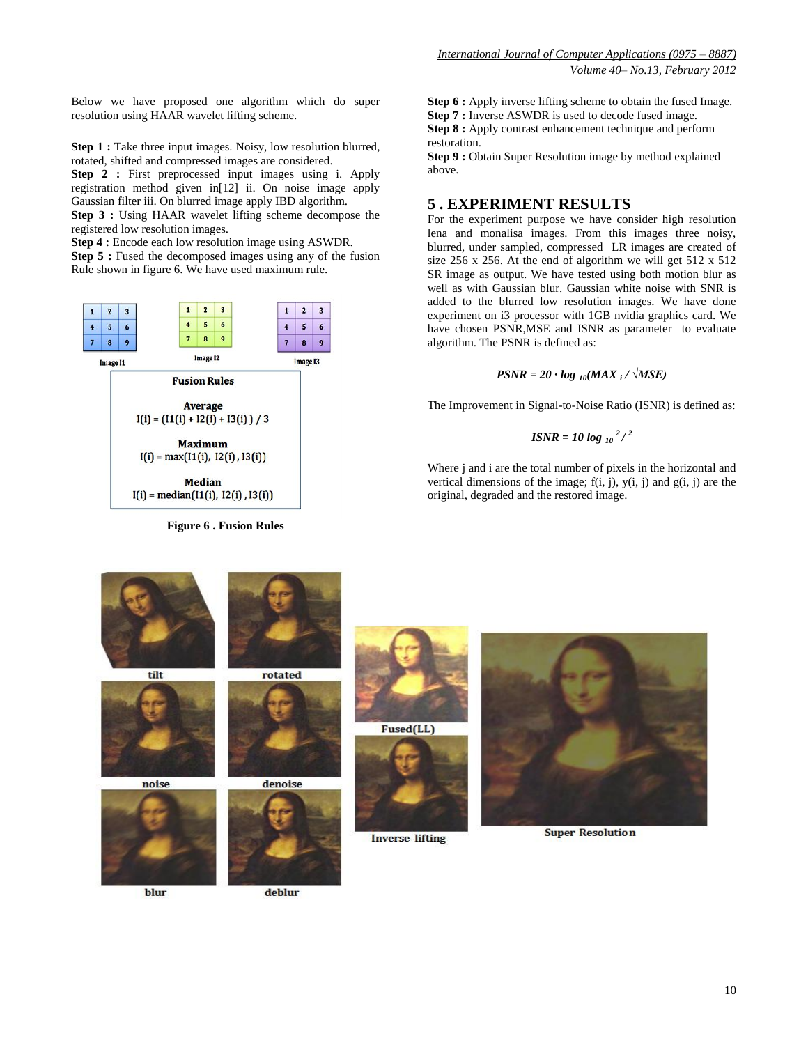Below we have proposed one algorithm which do super resolution using HAAR wavelet lifting scheme.

**Step 1 :** Take three input images. Noisy, low resolution blurred, rotated, shifted and compressed images are considered.

**Step 2 :** First preprocessed input images using i. Apply registration method given in[12] ii. On noise image apply Gaussian filter iii. On blurred image apply IBD algorithm.

**Step 3 :** Using HAAR wavelet lifting scheme decompose the registered low resolution images.

**Step 4 :** Encode each low resolution image using ASWDR.

**Step 5 :** Fused the decomposed images using any of the fusion Rule shown in figure 6. We have used maximum rule.



**Figure 6 . Fusion Rules**

**Step 6 :** Apply inverse lifting scheme to obtain the fused Image. **Step 7 :** Inverse ASWDR is used to decode fused image. **Step 8 :** Apply contrast enhancement technique and perform restoration.

**Step 9 :** Obtain Super Resolution image by method explained above.

## **5 . EXPERIMENT RESULTS**

For the experiment purpose we have consider high resolution lena and monalisa images. From this images three noisy, blurred, under sampled, compressed LR images are created of size 256 x 256. At the end of algorithm we will get 512 x 512 SR image as output. We have tested using both motion blur as well as with Gaussian blur. Gaussian white noise with SNR is added to the blurred low resolution images. We have done experiment on i3 processor with 1GB nvidia graphics card. We have chosen PSNR,MSE and ISNR as parameter to evaluate algorithm. The PSNR is defined as:

## *PSNR = 20 · log 10(MAX <sup>i</sup> / √MSE)*

The Improvement in Signal-to-Noise Ratio (ISNR) is defined as:

$$
ISNR = 10 \log_{10} \frac{2}{3}
$$

Where j and i are the total number of pixels in the horizontal and vertical dimensions of the image;  $f(i, j)$ ,  $y(i, j)$  and  $g(i, j)$  are the original, degraded and the restored image.